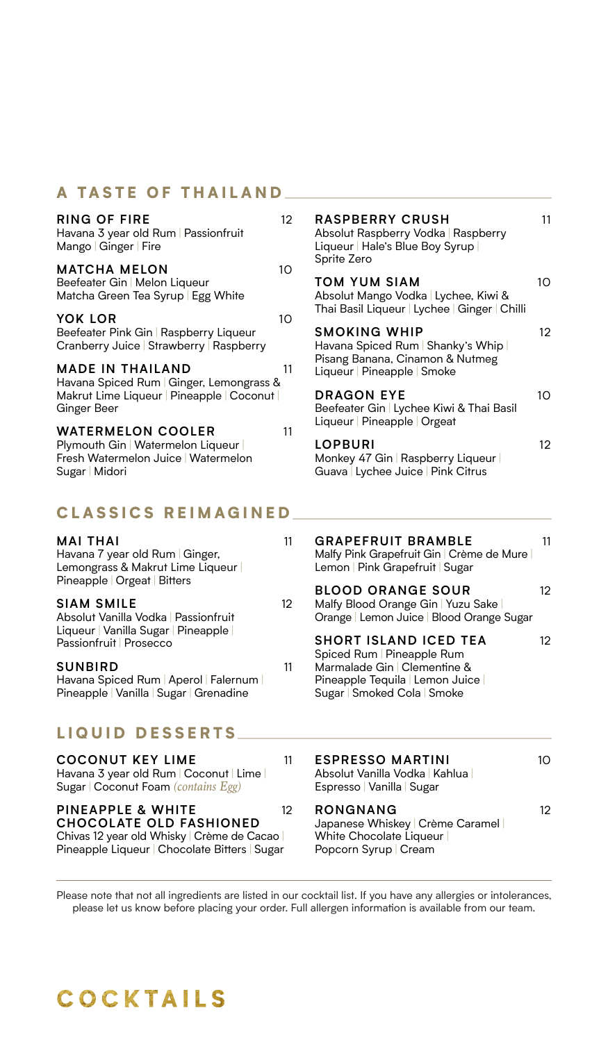### A TASTE OF THAILAND

| <b>RING OF FIRE</b><br>Havana 3 year old Rum   Passionfruit<br>Mango   Ginger   Fire                                 | 12 <sup>°</sup> | <b>RASPBERRY CRUSH</b><br>Absolut Raspberry Vodka   Raspberry<br>Liqueur   Hale's Blue Boy Syrup  <br>Sprite Zero | 11 |
|----------------------------------------------------------------------------------------------------------------------|-----------------|-------------------------------------------------------------------------------------------------------------------|----|
| <b>MATCHA MELON</b><br>Beefeater Gin   Melon Liqueur<br>Matcha Green Tea Syrup   Egg White                           | 10 <sup>2</sup> | <b>TOM YUM SIAM</b><br>Absolut Mango Vodka   Lychee, Kiwi &<br>Thai Basil Liqueur   Lychee   Ginger   Chilli      | 10 |
| YOK LOR<br>Beefeater Pink Gin   Raspberry Liqueur<br>Cranberry Juice   Strawberry   Raspberry                        | 10              | <b>SMOKING WHIP</b><br>Havana Spiced Rum   Shanky's Whip                                                          | 12 |
| <b>MADE IN THAILAND</b><br>Havana Spiced Rum   Ginger, Lemongrass &                                                  | 11              | Pisang Banana, Cinamon & Nutmeg<br>Liqueur   Pineapple   Smoke                                                    |    |
| Makrut Lime Liqueur   Pineapple   Coconut  <br>Ginger Beer<br><b>WATERMELON COOLER</b>                               | 11              | <b>DRAGON EYE</b><br>Beefeater Gin   Lychee Kiwi & Thai Basil<br>Liqueur   Pineapple   Orgeat                     | 10 |
| Plymouth Gin   Watermelon Liqueur  <br>Fresh Watermelon Juice   Watermelon<br>Sugar   Midori                         |                 | LOPBURI<br>Monkey 47 Gin   Raspberry Liqueur  <br>Guava   Lychee Juice   Pink Citrus                              | 12 |
| <b>CLASSICS REIMAGINED</b>                                                                                           |                 |                                                                                                                   |    |
| <b>MAI THAI</b><br>Havana 7 year old Rum Ginger,<br>Lemongrass & Makrut Lime Liqueur<br>Pineapple   Orgeat   Bitters | 11              | <b>GRAPEFRUIT BRAMBLE</b><br>Malfy Pink Grapefruit Gin   Crème de Mure  <br>Lemon   Pink Grapefruit   Sugar       | 11 |

| <b>SIAM SMILE</b>                                                | 12 | BL(<br>Mali       |
|------------------------------------------------------------------|----|-------------------|
| Absolut Vanilla Vodka   Passionfruit                             |    | Ora               |
| Liqueur   Vanilla Sugar   Pineapple  <br>Passionfruit   Prosecco |    | <b>SH</b><br>Spic |
| <b>SUNBIRD</b>                                                   | 11 | Mar               |
| Havana Spiced Rum   Aperol   Falernum                            |    | Pine              |

# LIQUID DESSERTS

Pineapple | Vanilla | Sugar | Grenadine

**COCONUT KEY LIME** 11 Havana 3 year old Rum | Coconut | Lime | Sugar | Coconut Foam *(contains Egg)*  **PINEAPPLE & WHITE** 12 **CHOCOLATE OLD FASHIONED**

Chivas 12 year old Whisky | Crème de Cacao | Pineapple Liqueur | Chocolate Bitters | Sugar

#### **BLOOD ORANGE SOUR** 12 fy Blood Orange Gin | Yuzu Sake | Orange | Lemon Juice | Blood Orange Sugar

#### **ORT ISLAND ICED TEA** 12 ed Rum | Pineapple Rum malade Gin | Clementine & Pineapple Tequila | Lemon Juice | Sugar | Smoked Cola | Smoke

| <b>ESPRESSO MARTINI</b><br>Absolut Vanilla Vodka   Kahlua  <br>Espresso   Vanilla   Sugar | 10 |
|-------------------------------------------------------------------------------------------|----|
| RONGNANG<br>Japanese Whiskey   Crème Caramel  <br>White Chocolate Liqueur                 | 12 |

Popcorn Syrup | Cream

Please note that not all ingredients are listed in our cocktail list. If you have any allergies or intolerances, please let us know before placing your order. Full allergen information is available from our team.

# **COCKTAILS**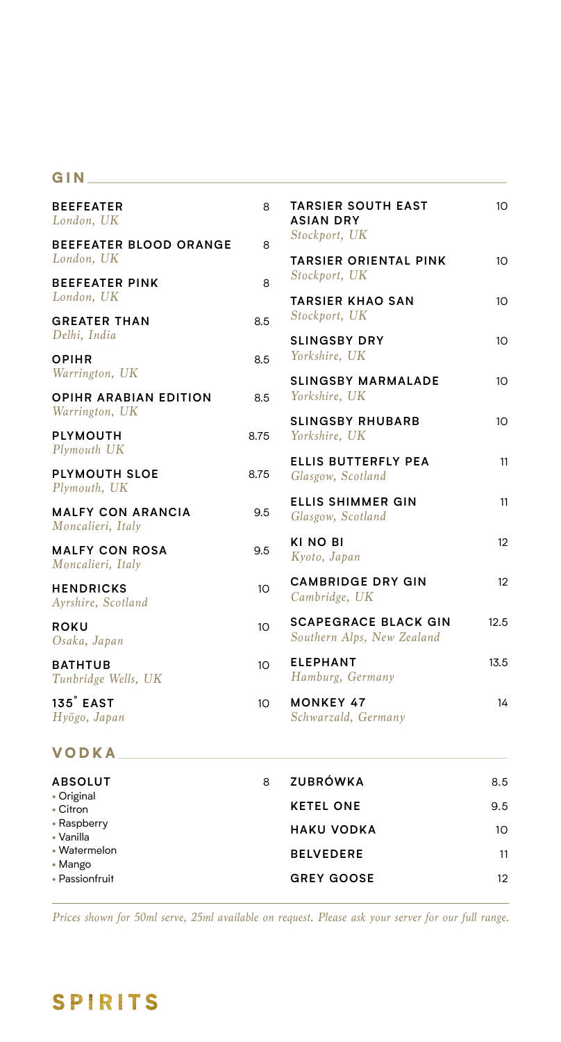### GIN

| <b>BEEFEATER</b><br>London, UK                | 8               | <b>TARSIER SOUTH EAST</b><br><b>ASIAN DRY</b>             | 10              |
|-----------------------------------------------|-----------------|-----------------------------------------------------------|-----------------|
| <b>BEEFEATER BLOOD ORANGE</b><br>London, UK   | 8               | Stockport, UK<br><b>TARSIER ORIENTAL PINK</b>             | 10              |
| <b>BEEFEATER PINK</b>                         | 8               | Stockport, UK                                             |                 |
| London, UK                                    |                 | <b>TARSIER KHAO SAN</b>                                   | 10              |
| <b>GREATER THAN</b><br>Delhi, India           | 8.5             | Stockport, UK<br><b>SLINGSBY DRY</b>                      |                 |
| <b>OPIHR</b>                                  | 8.5             | Yorkshire, UK                                             | 10              |
| Warrington, UK                                |                 | <b>SLINGSBY MARMALADE</b>                                 | 10              |
| OPIHR ARABIAN EDITION<br>Warrington, UK       | 8.5             | Yorkshire, UK                                             |                 |
| <b>PLYMOUTH</b>                               | 8.75            | <b>SLINGSBY RHUBARB</b><br>Yorkshire, UK                  | 10 <sup>2</sup> |
| Plymouth UK                                   |                 | ELLIS BUTTERFLY PEA                                       | 11              |
| PLYMOUTH SLOE<br>Plymouth, UK                 | 8.75            | Glasgow, Scotland                                         |                 |
| <b>MALFY CON ARANCIA</b><br>Moncalieri, Italy | 9.5             | <b>ELLIS SHIMMER GIN</b><br>Glasgow, Scotland             | 11              |
| <b>MALFY CON ROSA</b><br>Moncalieri, Italy    | 9.5             | KI NO BI<br>Kyoto, Japan                                  | 12              |
| <b>HENDRICKS</b><br>Ayrshire, Scotland        | 10              | <b>CAMBRIDGE DRY GIN</b><br>Cambridge, UK                 | 12              |
| <b>ROKU</b><br>Osaka, Japan                   | 10 <sup>°</sup> | <b>SCAPEGRACE BLACK GIN</b><br>Southern Alps, New Zealand | 12.5            |
| <b>BATHTUB</b><br>Tunbridge Wells, UK         | 10 <sup>°</sup> | <b>ELEPHANT</b><br>Hamburg, Germany                       | 13.5            |
| 135° EAST<br>Hyōgo, Japan                     | 10 <sup>°</sup> | <b>MONKEY 47</b><br>Schwarzald, Germany                   | 14              |
| VODKA.                                        |                 |                                                           |                 |
| <b>ABSOLUT</b>                                | 8               | <b>ZUBRÓWKA</b>                                           | 8.5             |
| • Original<br>• Citron                        |                 | <b>KETEL ONE</b>                                          | 9.5             |
| • Raspberry<br>• Vanilla                      |                 | <b>HAKU VODKA</b>                                         | 10 <sup>°</sup> |
| • Watermelon<br>• Mango                       |                 | <b>BELVEDERE</b>                                          | 11              |
| • Passionfruit                                |                 | <b>GREY GOOSE</b>                                         | 12              |

*Prices shown for 50ml serve, 25ml available on request. Please ask your server for our full range.*

# **SPIRITS**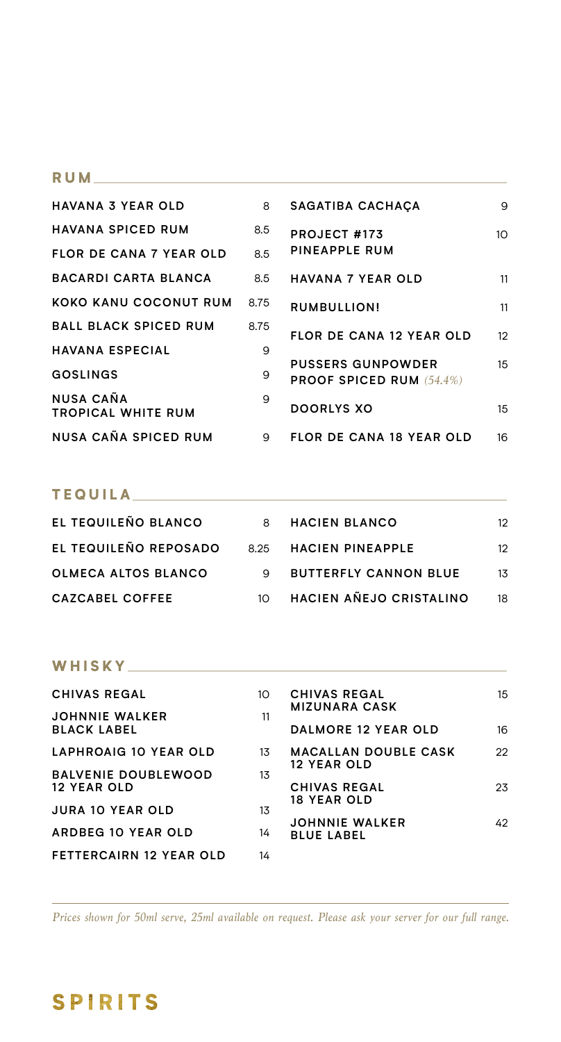### RUM **RUM**

| <b>HAVANA 3 YEAR OLD</b>                      | 8    | SAGATIBA CACHACA                                            | 9                |
|-----------------------------------------------|------|-------------------------------------------------------------|------------------|
| <b>HAVANA SPICED RUM</b>                      | 8.5  | PROJECT #173                                                | 10               |
| <b>FLOR DE CANA 7 YEAR OLD</b>                | 8.5  | PINEAPPLE RUM                                               |                  |
| <b>BACARDI CARTA BLANCA</b>                   | 8.5  | <b>HAVANA 7 YEAR OLD</b>                                    | 11               |
| KOKO KANU COCONUT RUM                         | 8.75 | RUMBULLION!                                                 | 11               |
| <b>BALL BLACK SPICED RUM</b>                  | 8.75 | <b>FLOR DE CANA 12 YEAR OLD</b>                             | 12 <sup>°</sup>  |
| <b>HAVANA ESPECIAL</b>                        | 9    |                                                             |                  |
| GOSLINGS                                      | 9    | <b>PUSSERS GUNPOWDER</b><br><b>PROOF SPICED RUM (54.4%)</b> | 15 <sub>15</sub> |
| <b>NUSA CAÑA</b><br><b>TROPICAL WHITE RUM</b> | 9    | <b>DOORLYS XO</b>                                           | 15               |
| NUSA CAÑA SPICED RUM                          | 9    | <b>FLOR DE CANA 18 YEAR OLD</b>                             | 16               |

# TEQUILA

| EL TEQUILEÑO BLANCO        |          | 8 HACIEN BLANCO              | 12             |
|----------------------------|----------|------------------------------|----------------|
| EL TEQUILEÑO REPOSADO      |          | 8.25 HACIEN PINEAPPLE        | 12             |
| <b>OLMECA ALTOS BLANCO</b> |          | <b>BUTTERFLY CANNON BLUE</b> | 1 <sub>3</sub> |
| <b>CAZCABEL COFFEE</b>     | $1 \cap$ | HACIEN AÑEJO CRISTALINO      | 18             |

# WHISKY

| <b>CHIVAS REGAL</b>                              | 10 | <b>CHIVAS REGAL</b><br><b>MIZUNARA CASK</b> | 15 |
|--------------------------------------------------|----|---------------------------------------------|----|
| <b>JOHNNIE WALKER</b><br><b>BLACK LABEL</b>      | 11 | <b>DALMORE 12 YEAR OLD</b>                  | 16 |
| LAPHROAIG 10 YEAR OLD                            | 13 | <b>MACALLAN DOUBLE CASK</b>                 | 22 |
| <b>BALVENIE DOUBLEWOOD</b><br><b>12 YEAR OLD</b> | 13 | <b>12 YEAR OLD</b><br><b>CHIVAS REGAL</b>   | 23 |
| <b>JURA 10 YEAR OLD</b>                          | 13 | <b>18 YEAR OLD</b>                          |    |
| ARDBEG 10 YEAR OLD                               | 14 | <b>JOHNNIE WALKER</b><br><b>BLUE LABEL</b>  | 42 |
| <b>FETTERCAIRN 12 YEAR OLD</b>                   | 14 |                                             |    |

*Prices shown for 50ml serve, 25ml available on request. Please ask your server for our full range.*

# **SPIRITS**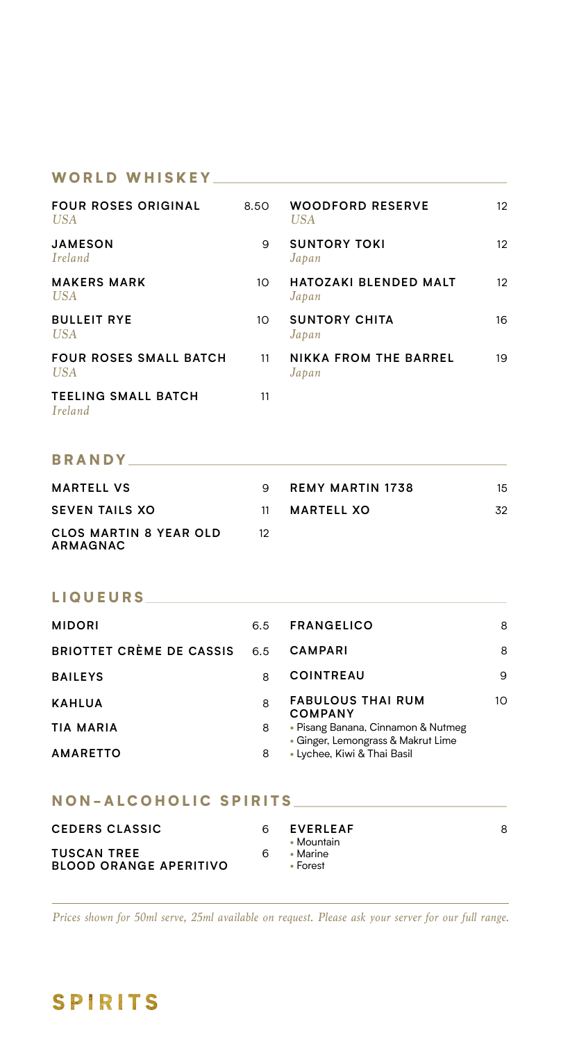#### WORLD WHISKEY

| <b>FOUR ROSES ORIGINAL</b><br><b>USA</b>    | 8.50 | <b>WOODFORD RESERVE</b><br>USA        | 12 <sup>2</sup> |
|---------------------------------------------|------|---------------------------------------|-----------------|
| <b>JAMESON</b><br>Ireland                   | 9    | <b>SUNTORY TOKI</b><br>Japan          | 12              |
| <b>MAKERS MARK</b><br><b>USA</b>            | 10   | <b>HATOZAKI BLENDED MALT</b><br>Japan | 12              |
| <b>BULLEIT RYE</b><br><b>USA</b>            | 10   | <b>SUNTORY CHITA</b><br>Japan         | 16              |
| <b>FOUR ROSES SMALL BATCH</b><br><b>USA</b> | 11   | <b>NIKKA FROM THE BARREL</b><br>Japan | 19              |
| <b>TEELING SMALL BATCH</b><br>Ireland       | 11   |                                       |                 |

## BRANDY **Example 2008**

| <b>MARTELL VS</b>                         |    | REMY MARTIN 1738 | 15 |
|-------------------------------------------|----|------------------|----|
| <b>SEVEN TAILS XO</b>                     | 11 | MARTELL XO       | 32 |
| <b>CLOS MARTIN 8 YEAR OLD</b><br>ARMAGNAC |    |                  |    |

### LIQUEURS

| <b>MIDORI</b>            | 6.5 | <b>FRANGELICO</b>                                                        | 8  |
|--------------------------|-----|--------------------------------------------------------------------------|----|
| BRIOTTET CRÈME DE CASSIS | 6.5 | <b>CAMPARI</b>                                                           | 8  |
| <b>BAILEYS</b>           | 8   | <b>COINTREAU</b>                                                         | 9  |
| <b>KAHLUA</b>            | 8   | <b>FABULOUS THAI RUM</b><br><b>COMPANY</b>                               | 10 |
| TIA MARIA                | 8   | • Pisang Banana, Cinnamon & Nutmeg<br>• Ginger, Lemongrass & Makrut Lime |    |
| <b>AMARETTO</b>          | 8   | • Lychee, Kiwi & Thai Basil                                              |    |

### NON-ALCOHOLIC SPIRITS

| <b>CEDERS CLASSIC</b>                               |   | <b>EVERLEAF</b><br>• Mountain        | 8 |
|-----------------------------------------------------|---|--------------------------------------|---|
| <b>TUSCAN TREE</b><br><b>BLOOD ORANGE APERITIVO</b> | 6 | $\bullet$ Marine<br>$\bullet$ Forest |   |

*Prices shown for 50ml serve, 25ml available on request. Please ask your server for our full range.*

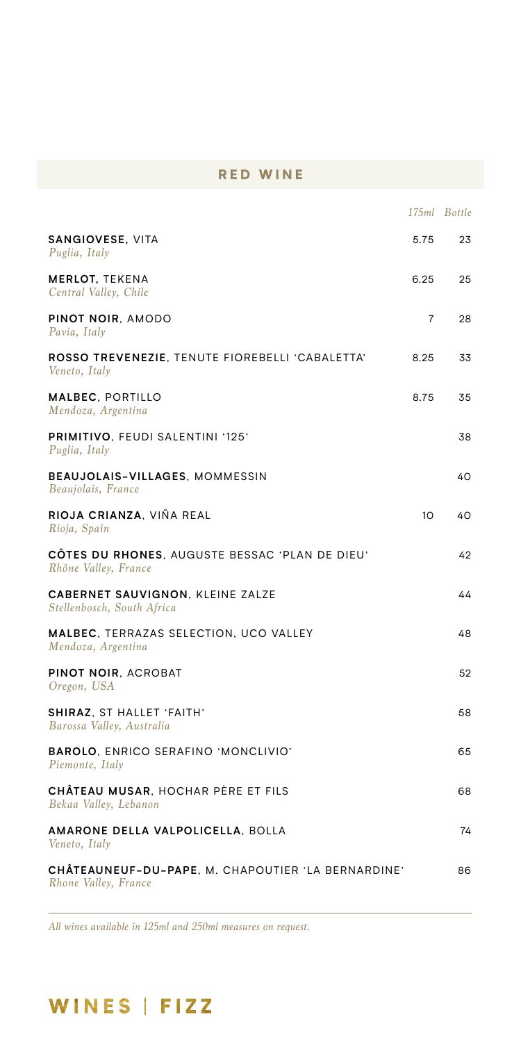## RED WINE

|                                                                            |      | 175ml Bottle |
|----------------------------------------------------------------------------|------|--------------|
| SANGIOVESE, VITA<br>Puglia, Italy                                          | 5.75 | 23           |
| <b>MERLOT, TEKENA</b><br>Central Valley, Chile                             | 6.25 | 25           |
| PINOT NOIR, AMODO<br>Pavia, Italy                                          | 7    | 28           |
| ROSSO TREVENEZIE, TENUTE FIOREBELLI 'CABALETTA'<br>Veneto, Italy           | 8.25 | 33           |
| <b>MALBEC, PORTILLO</b><br>Mendoza, Argentina                              | 8.75 | 35           |
| PRIMITIVO, FEUDI SALENTINI '125'<br>Puglia, Italy                          |      | 38           |
| BEAUJOLAIS-VILLAGES, MOMMESSIN<br>Beaujolais, France                       |      | 40           |
| RIOJA CRIANZA, VIÑA REAL<br>Rioja, Spain                                   | 10   | 40           |
| CÔTES DU RHONES, AUGUSTE BESSAC 'PLAN DE DIEU'<br>Rhône Valley, France     |      | 42           |
| <b>CABERNET SAUVIGNON, KLEINE ZALZE</b><br>Stellenbosch, South Africa      |      | 44           |
| MALBEC, TERRAZAS SELECTION, UCO VALLEY<br>Mendoza, Argentina               |      | 48           |
| PINOT NOIR, ACROBAT<br>Oregon, USA                                         |      | 52           |
| <b>SHIRAZ, ST HALLET 'FAITH'</b><br>Barossa Valley, Australia              |      | 58           |
| BAROLO, ENRICO SERAFINO 'MONCLIVIO'<br>Piemonte, Italy                     |      | 65           |
| CHÂTEAU MUSAR. HOCHAR PÈRE ET FILS<br>Bekaa Valley, Lebanon                |      | 68           |
| AMARONE DELLA VALPOLICELLA, BOLLA<br>Veneto, Italy                         |      | 74           |
| CHÂTEAUNEUF-DU-PAPE, M. CHAPOUTIER 'LA BERNARDINE'<br>Rhone Valley, France |      | 86           |
|                                                                            |      |              |

*All wines available in 125ml and 250ml measures on request.*

# WINES | FIZZ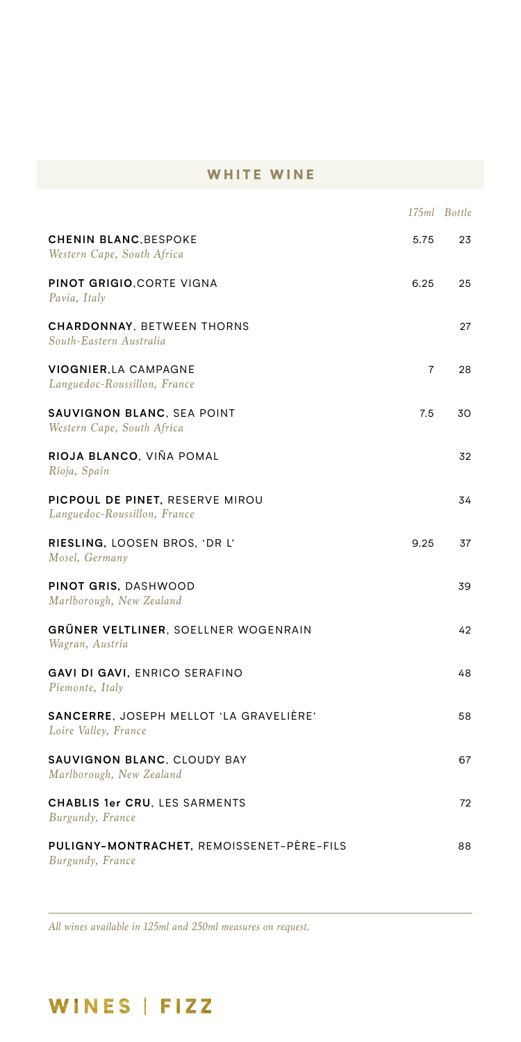## WHITE WINE

|                                                                 |                | 175ml Bottle |
|-----------------------------------------------------------------|----------------|--------------|
| <b>CHENIN BLANC, BESPOKE</b><br>Western Cape, South Africa      | 5.75           | 23           |
| PINOT GRIGIO, CORTE VIGNA<br>Pavia, Italy                       | 6.25           | 25           |
| <b>CHARDONNAY, BETWEEN THORNS</b><br>South-Eastern Australia    |                | 27           |
| <b>VIOGNIER LA CAMPAGNE</b><br>Languedoc-Roussillon, France     | $\overline{7}$ | 28           |
| SAUVIGNON BLANC, SEA POINT<br>Western Cape, South Africa        | 7.5            | 30           |
| RIOJA BLANCO. VIÑA POMAL<br>Rioja, Spain                        |                | 32           |
| PICPOUL DE PINET, RESERVE MIROU<br>Languedoc-Roussillon, France |                | 34           |
| RIESLING, LOOSEN BROS, 'DR L'<br>Mosel, Germany                 | 9.25           | 37           |
| PINOT GRIS, DASHWOOD<br>Marlborough, New Zealand                |                | 39           |
| GRÜNER VELTLINER. SOELLNER WOGENRAIN<br>Wagran, Austria         |                | 42           |
| GAVI DI GAVI, ENRICO SERAFINO<br>Piemonte, Italy                |                | 48           |
| SANCERRE, JOSEPH MELLOT 'LA GRAVELIÈRE'<br>Loire Valley, France |                | 58           |
| SAUVIGNON BLANC, CLOUDY BAY<br>Marlborough, New Zealand         |                | 67           |
| CHABLIS 1er CRU, LES SARMENTS<br>Burgundy, France               |                | 72           |
| PULIGNY-MONTRACHET. REMOISSENET-PÈRE-FILS<br>Burgundy, France   |                | 88           |

*All wines available in 125ml and 250ml measures on request.*

# WINES | FIZZ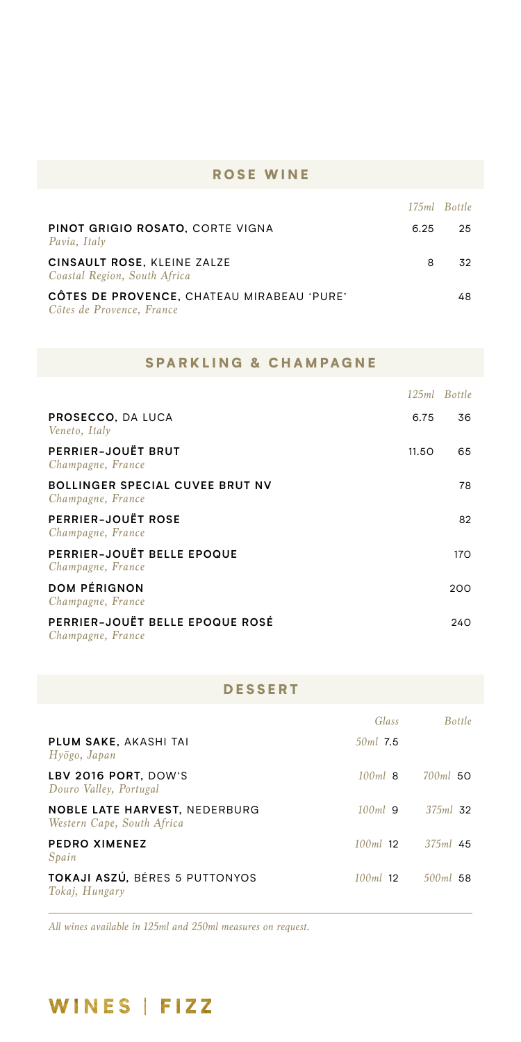### ROSE WINE

|                                                                         |      | 175ml Bottle |
|-------------------------------------------------------------------------|------|--------------|
| PINOT GRIGIO ROSATO. CORTE VIGNA<br>Pavia, Italy                        | 6.25 | 25           |
| CINSAULT ROSE, KLEINE ZALZE<br>Coastal Region, South Africa             | 8    | 32           |
| CÔTES DE PROVENCE, CHATEAU MIRABEAU 'PURE'<br>Côtes de Provence, France |      | 48           |

### SPARKLING & CHAMPAGNE

|                                                             |       | 125ml Bottle |
|-------------------------------------------------------------|-------|--------------|
| <b>PROSECCO, DA LUCA</b><br>Veneto, Italy                   | 6.75  | 36           |
| PERRIER-JOUËT BRUT<br>Champagne, France                     | 11.50 | 65           |
| <b>BOLLINGER SPECIAL CUVEE BRUT NV</b><br>Champagne, France |       | 78           |
| <b>PERRIER-JOUËT ROSE</b><br>Champagne, France              |       | 82           |
| PERRIER-JOUËT BELLE EPOQUE<br>Champagne, France             |       | 170          |
| <b>DOM PÉRIGNON</b><br>Champagne, France                    |       | 200          |
| PERRIER-JOUËT BELLE EPOQUE ROSÉ<br>Champagne, France        |       | 240          |

### DESSERT

|                                                                    | Glass      | <b>Bottle</b>         |
|--------------------------------------------------------------------|------------|-----------------------|
| PLUM SAKE, AKASHI TAI<br>$Hv\bar{o}go$ , Japan                     | $50ml$ 7.5 |                       |
| LBV 2016 PORT, DOW'S<br>Douro Valley, Portugal                     | $100ml$ 8  | $700ml$ 50            |
| <b>NOBLE LATE HARVEST. NEDERBURG</b><br>Western Cape, South Africa | $100ml$ 9  | $375ml$ 32            |
| <b>PEDRO XIMENEZ</b><br>Spain                                      |            | $100ml$ 12 $375ml$ 45 |
| <b>TOKAJI ASZÚ. BÉRES 5 PUTTONYOS</b><br>Tokaj, Hungary            | $100ml$ 12 | $500ml$ 58            |

*All wines available in 125ml and 250ml measures on request.*

# WINES | FIZZ